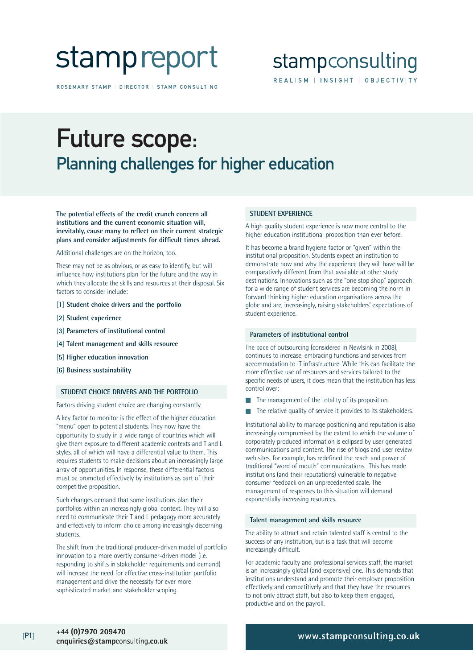# stamp report

ROSEMARY STAMP | DIRECTOR | STAMP CONSULTING

### stampconsulting REALISM | INSIGHT | OBJECTIVITY

## Future scope: Planning challenges for higher education

**The potential effects of the credit crunch concern all institutions and the current economic situation will, inevitably, cause many to reflect on their current strategic plans and consider adjustments for difficult times ahead.**

Additional challenges are on the horizon, too.

These may not be as obvious, or as easy to identify, but will influence how institutions plan for the future and the way in which they allocate the skills and resources at their disposal. Six factors to consider include:

- **[1] Student choice drivers and the portfolio**
- **[2] Student experience**
- **[3] Parameters of institutional control**
- **[4] Talent management and skills resource**
- **[5] Higher education innovation**
- **[6] Business sustainability**

#### **STUDENT CHOICE DRIVERS AND THE PORTFOLIO**

Factors driving student choice are changing constantly.

A key factor to monitor is the effect of the higher education "menu" open to potential students. They now have the opportunity to study in a wide range of countries which will give them exposure to different academic contexts and T and L styles, all of which will have a differential value to them. This requires students to make decisions about an increasingly large array of opportunities. In response, these differential factors must be promoted effectively by institutions as part of their competitive proposition.

Such changes demand that some institutions plan their portfolios within an increasingly global context. They will also need to communicate their T and L pedagogy more accurately and effectively to inform choice among increasingly discerning students.

The shift from the traditional producer-driven model of portfolio innovation to a more overtly consumer-driven model (i.e. responding to shifts in stakeholder requirements and demand) will increase the need for effective cross-institution portfolio management and drive the necessity for ever more sophisticated market and stakeholder scoping.

#### **STUDENT EXPERIENCE**

A high quality student experience is now more central to the higher education institutional proposition than ever before.

It has become a brand hygiene factor or "given" within the institutional proposition. Students expect an institution to demonstrate how and why the experience they will have will be comparatively different from that available at other study destinations. Innovations such as the "one stop shop" approach for a wide range of student services are becoming the norm in forward thinking higher education organisations across the globe and are, increasingly, raising stakeholders' expectations of student experience.

#### **Parameters of institutional control**

The pace of outsourcing (considered in Newlsink in 2008), continues to increase, embracing functions and services from accommodation to IT infrastructure. While this can facilitate the more effective use of resources and services tailored to the specific needs of users, it does mean that the institution has less control over:

- The management of the totality of its proposition.
- The relative quality of service it provides to its stakeholders.

Institutional ability to manage positioning and reputation is also increasingly compromised by the extent to which the volume of corporately produced information is eclipsed by user generated communications and content. The rise of blogs and user review web sites, for example, has redefined the reach and power of traditional "word of mouth" communications. This has made institutions (and their reputations) vulnerable to negative consumer feedback on an unprecedented scale. The management of responses to this situation will demand exponentially increasing resources.

#### **Talent management and skills resource**

The ability to attract and retain talented staff is central to the success of any institution, but is a task that will become increasingly difficult.

For academic faculty and professional services staff, the market is an increasingly global (and expensive) one. This demands that institutions understand and promote their employer proposition effectively and competitively and that they have the resources to not only attract staff, but also to keep them engaged, productive and on the payroll.